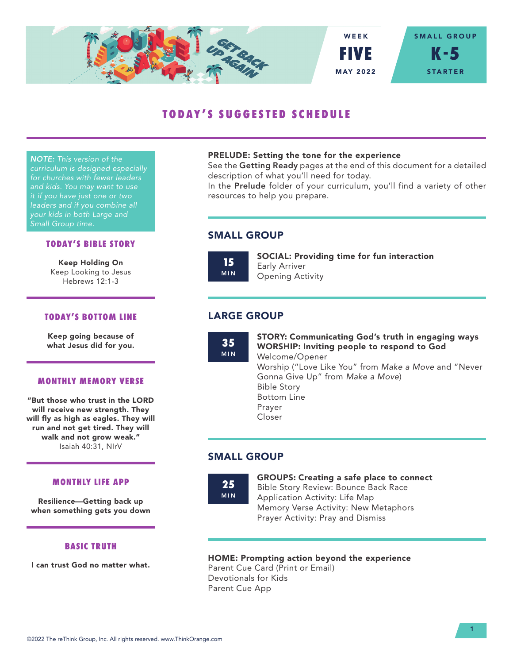

# **TODAY'S SUGGESTED SCHEDULE**

*NOTE: This version of the curriculum is designed especially for churches with fewer leaders and kids. You may want to use it if you have just one or two leaders and if you combine all your kids in both Large and Small Group time.*

## **TODAY'S BIBLE STORY**

Keep Holding On Keep Looking to Jesus Hebrews 12:1-3

## **TODAY'S BOTTOM LINE**

Keep going because of what Jesus did for you.

#### **MONTHLY MEMORY VERSE**

"But those who trust in the LORD will receive new strength. They will fly as high as eagles. They will run and not get tired. They will walk and not grow weak." Isaiah 40:31, NIrV

#### **MONTHLY LIFE APP**

Resilience—Getting back up when something gets you down

## **BASIC TRUTH**

I can trust God no matter what.

#### PRELUDE: Setting the tone for the experience

See the Getting Ready pages at the end of this document for a detailed description of what you'll need for today.

In the Prelude folder of your curriculum, you'll find a variety of other resources to help you prepare.

# SMALL GROUP

**15** MIN SOCIAL: Providing time for fun interaction Early Arriver Opening Activity

# LARGE GROUP

**35** MIN STORY: Communicating God's truth in engaging ways WORSHIP: Inviting people to respond to God Welcome/Opener Worship ("Love Like You" from *Make a Move* and "Never Gonna Give Up" from *Make a Move*) Bible Story Bottom Line Prayer Closer

# SMALL GROUP

**25** MIN GROUPS: Creating a safe place to connect Bible Story Review: Bounce Back Race Application Activity: Life Map Memory Verse Activity: New Metaphors

## HOME: Prompting action beyond the experience

Prayer Activity: Pray and Dismiss

Parent Cue Card (Print or Email) Devotionals for Kids Parent Cue App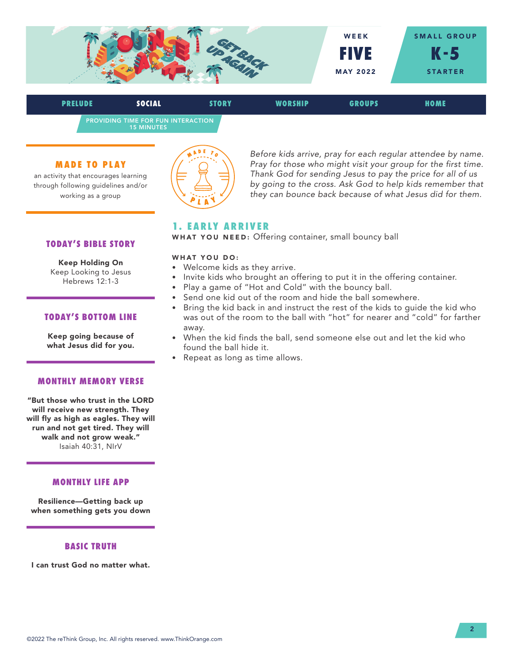

PROVIDING TIME FOR FUN INTERACTION 15 MINUTES **PRELUDE SOCIAL STORY WORSHIP GROUPS HOME**

#### **MADE TO PLAY**

an activity that encourages learning through following guidelines and/or working as a group



*Before kids arrive, pray for each regular attendee by name. Pray for those who might visit your group for the first time. Thank God for sending Jesus to pay the price for all of us by going to the cross. Ask God to help kids remember that they can bounce back because of what Jesus did for them.*

## **1. EARLY ARRIVER**

WHAT YOU NEED: Offering container, small bouncy ball

#### WHAT YOU DO:

- Welcome kids as they arrive.
- Invite kids who brought an offering to put it in the offering container.
- Play a game of "Hot and Cold" with the bouncy ball.
- Send one kid out of the room and hide the ball somewhere.
- Bring the kid back in and instruct the rest of the kids to guide the kid who was out of the room to the ball with "hot" for nearer and "cold" for farther away.
- When the kid finds the ball, send someone else out and let the kid who found the ball hide it.
- Repeat as long as time allows.

#### **TODAY'S BIBLE STORY**

Keep Holding On Keep Looking to Jesus Hebrews 12:1-3

## **TODAY'S BOTTOM LINE**

Keep going because of what Jesus did for you.

#### **MONTHLY MEMORY VERSE**

"But those who trust in the LORD will receive new strength. They will fly as high as eagles. They will run and not get tired. They will walk and not grow weak." Isaiah 40:31, NIrV

## **MONTHLY LIFE APP**

Resilience—Getting back up when something gets you down

## **BASIC TRUTH**

I can trust God no matter what.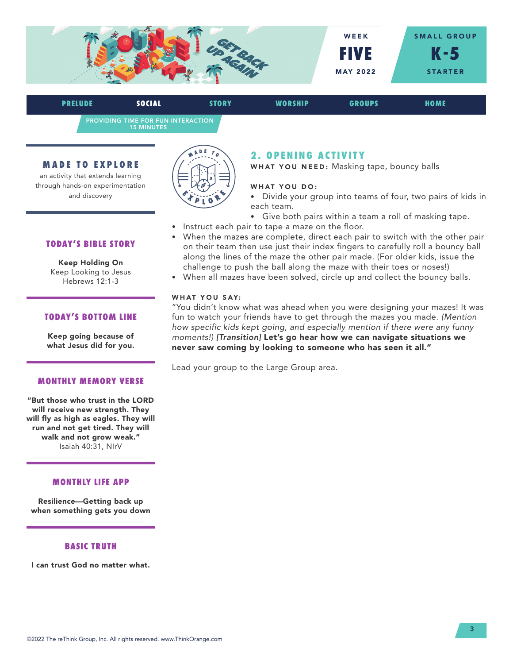

PROVIDING TIME FOR FUN INTERACTION 15 MINUTES **PRELUDE SOCIAL STORY WORSHIP GROUPS HOME**

#### **MADE TO EXPLORE**

an activity that extends learning through hands-on experimentation and discovery



## **2 . O P E N I N G A C T I V I T Y**

WHAT YOU NEED: Masking tape, bouncy balls

#### WHAT YOU DO:

- Divide your group into teams of four, two pairs of kids in each team.
- Give both pairs within a team a roll of masking tape.
- Instruct each pair to tape a maze on the floor.
- When the mazes are complete, direct each pair to switch with the other pair on their team then use just their index fingers to carefully roll a bouncy ball along the lines of the maze the other pair made. (For older kids, issue the challenge to push the ball along the maze with their toes or noses!)
- When all mazes have been solved, circle up and collect the bouncy balls.

#### WHAT YOU SAY:

"You didn't know what was ahead when you were designing your mazes! It was fun to watch your friends have to get through the mazes you made. *(Mention how specific kids kept going, and especially mention if there were any funny moments!) [Transition]* Let's go hear how we can navigate situations we never saw coming by looking to someone who has seen it all."

Lead your group to the Large Group area.

#### **TODAY'S BIBLE STORY**

Keep Holding On Keep Looking to Jesus Hebrews 12:1-3

## **TODAY'S BOTTOM LINE**

Keep going because of what Jesus did for you.

#### **MONTHLY MEMORY VERSE**

"But those who trust in the LORD will receive new strength. They will fly as high as eagles. They will run and not get tired. They will walk and not grow weak." Isaiah 40:31, NIrV

## **MONTHLY LIFE APP**

Resilience—Getting back up when something gets you down

#### **BASIC TRUTH**

I can trust God no matter what.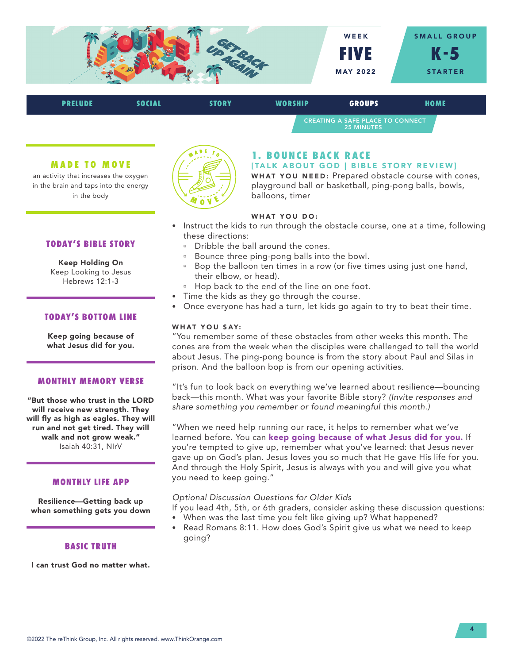

| <b>PRELUDE</b> | SOCIAL | STORY | <b>WORSHIP</b>                                               | <b>GROUPS</b> | HOME |  |
|----------------|--------|-------|--------------------------------------------------------------|---------------|------|--|
|                |        |       | <b>CREATING A SAFE PLACE TO CONNECT</b><br><b>25 MINUTES</b> |               |      |  |

#### **MADE TO MOVE**

an activity that increases the oxygen in the brain and taps into the energy in the body



Keep Holding On Keep Looking to Jesus Hebrews 12:1-3

## **TODAY'S BOTTOM LINE**

Keep going because of what Jesus did for you.

#### **MONTHLY MEMORY VERSE**

"But those who trust in the LORD will receive new strength. They will fly as high as eagles. They will run and not get tired. They will walk and not grow weak." Isaiah 40:31, NIrV

#### **MONTHLY LIFE APP**

Resilience—Getting back up when something gets you down

#### **BASIC TRUTH**

I can trust God no matter what.



## **1. BOUNCE BACK RACE**

#### [TALK ABOUT GOD | BIBLE STORY REVIEW]

WHAT YOU NEED: Prepared obstacle course with cones, playground ball or basketball, ping-pong balls, bowls, balloons, timer

## WHAT YOU DO:

- Instruct the kids to run through the obstacle course, one at a time, following these directions:
	- <sup>n</sup> Dribble the ball around the cones.
	- <sup>a</sup> Bounce three ping-pong balls into the bowl.
	- <sup>n</sup> Bop the balloon ten times in a row (or five times using just one hand, their elbow, or head).
	- <sup>n</sup> Hop back to the end of the line on one foot.
- Time the kids as they go through the course.
- Once everyone has had a turn, let kids go again to try to beat their time.

#### WHAT YOU SAY:

"You remember some of these obstacles from other weeks this month. The cones are from the week when the disciples were challenged to tell the world about Jesus. The ping-pong bounce is from the story about Paul and Silas in prison. And the balloon bop is from our opening activities.

"It's fun to look back on everything we've learned about resilience—bouncing back—this month. What was your favorite Bible story? *(Invite responses and share something you remember or found meaningful this month.)* 

"When we need help running our race, it helps to remember what we've learned before. You can keep going because of what Jesus did for you. If you're tempted to give up, remember what you've learned: that Jesus never gave up on God's plan. Jesus loves you so much that He gave His life for you. And through the Holy Spirit, Jesus is always with you and will give you what you need to keep going."

#### *Optional Discussion Questions for Older Kids*

If you lead 4th, 5th, or 6th graders, consider asking these discussion questions:

- When was the last time you felt like giving up? What happened?
- Read Romans 8:11. How does God's Spirit give us what we need to keep going?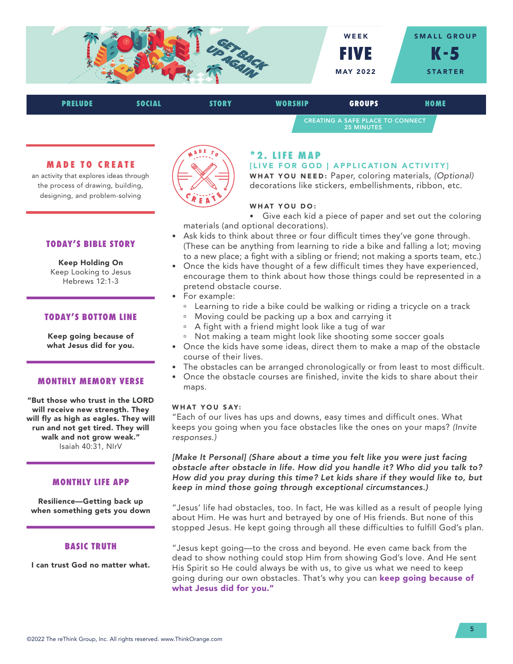

| <b>PRELUDE</b> | SOCIAL | <b>STORY</b> | <b>WORSHIP</b> | <b>GROUPS</b>                                                | HOME |  |
|----------------|--------|--------------|----------------|--------------------------------------------------------------|------|--|
|                |        |              |                | <b>CREATING A SAFE PLACE TO CONNECT</b><br><b>25 MINUTES</b> |      |  |

#### **MADE TO CREATE**

an activity that explores ideas through the process of drawing, building, designing, and problem-solving

## **TODAY'S BIBLE STORY**

Keep Holding On Keep Looking to Jesus Hebrews 12:1-3

## **TODAY'S BOTTOM LINE**

Keep going because of what Jesus did for you.

#### **MONTHLY MEMORY VERSE**

"But those who trust in the LORD will receive new strength. They will fly as high as eagles. They will run and not get tired. They will walk and not grow weak." Isaiah 40:31, NIrV

#### **MONTHLY LIFE APP**

Resilience—Getting back up when something gets you down

#### **BASIC TRUTH**

I can trust God no matter what.



# **\* 2 . L I F E M A P**

#### [LIVE FOR GOD | APPLICATION ACTIVITY]

WHAT YOU NEED: Paper, coloring materials, *(Optional)*  decorations like stickers, embellishments, ribbon, etc.

#### WHAT YOU DO:

- Give each kid a piece of paper and set out the coloring materials (and optional decorations).
- Ask kids to think about three or four difficult times they've gone through. (These can be anything from learning to ride a bike and falling a lot; moving to a new place; a fight with a sibling or friend; not making a sports team, etc.)
- Once the kids have thought of a few difficult times they have experienced, encourage them to think about how those things could be represented in a pretend obstacle course.
- For example:
	- <sup>n</sup> Learning to ride a bike could be walking or riding a tricycle on a track
	- <sup>a</sup> Moving could be packing up a box and carrying it
	- <sup>a</sup> A fight with a friend might look like a tug of war
	- <sup>o</sup> Not making a team might look like shooting some soccer goals
- Once the kids have some ideas, direct them to make a map of the obstacle course of their lives.
- The obstacles can be arranged chronologically or from least to most difficult.
- Once the obstacle courses are finished, invite the kids to share about their maps.

#### WHAT YOU SAY:

"Each of our lives has ups and downs, easy times and difficult ones. What keeps you going when you face obstacles like the ones on your maps? *(Invite responses.)* 

[Make It Personal] (Share about a time you felt like you were just facing *obstacle after obstacle in life. How did you handle it? Who did you talk to? How did you pray during this time? Let kids share if they would like to, but keep in mind those going through exceptional circumstances.)*

"Jesus' life had obstacles, too. In fact, He was killed as a result of people lying about Him. He was hurt and betrayed by one of His friends. But none of this stopped Jesus. He kept going through all these difficulties to fulfill God's plan.

"Jesus kept going—to the cross and beyond. He even came back from the dead to show nothing could stop Him from showing God's love. And He sent His Spirit so He could always be with us, to give us what we need to keep going during our own obstacles. That's why you can keep going because of what Jesus did for you."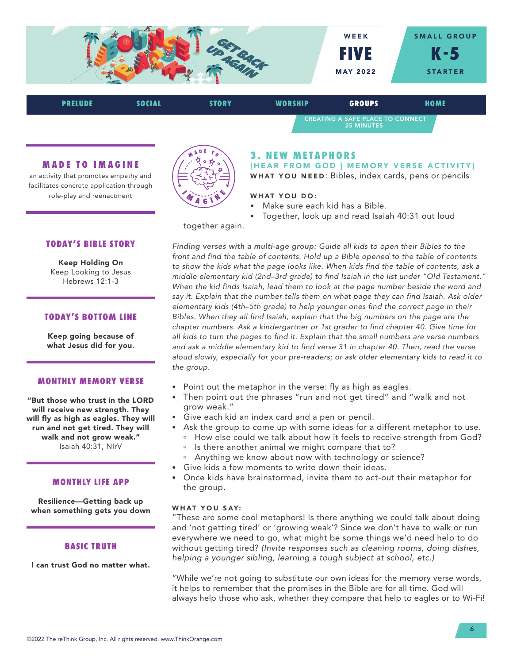

CREATING A SAFE PLACE TO CONNECT 25 MINUTES

## **MADE TO IMAGINE**

an activity that promotes empathy and facilitates concrete application through role-play and reenactment



# **3. NEW METAPHORS**

[HEAR FROM GOD | MEMORY VERSE ACTIVITY] WHAT YOU NEED: Bibles, index cards, pens or pencils

## WHAT YOU DO:

- Make sure each kid has a Bible.
- Together, look up and read Isaiah 40:31 out loud

together again.

*Finding verses with a multi-age group: Guide all kids to open their Bibles to the front and find the table of contents. Hold up a Bible opened to the table of contents to show the kids what the page looks like. When kids find the table of contents, ask a middle elementary kid (2nd–3rd grade) to find Isaiah in the list under "Old Testament."*  When the kid finds Isaiah, lead them to look at the page number beside the word and *say it. Explain that the number tells them on what page they can find Isaiah. Ask older elementary kids (4th–5th grade) to help younger ones find the correct page in their Bibles. When they all find Isaiah, explain that the big numbers on the page are the chapter numbers. Ask a kindergartner or 1st grader to find chapter 40. Give time for all kids to turn the pages to find it. Explain that the small numbers are verse numbers and ask a middle elementary kid to find verse 31 in chapter 40. Then, read the verse aloud slowly, especially for your pre-readers; or ask older elementary kids to read it to the group.*

- Point out the metaphor in the verse: fly as high as eagles.
- Then point out the phrases "run and not get tired" and "walk and not grow weak."
- Give each kid an index card and a pen or pencil.
- Ask the group to come up with some ideas for a different metaphor to use. <sup>n</sup> How else could we talk about how it feels to receive strength from God?
	- Is there another animal we might compare that to?
	- <sup>o</sup> Anything we know about now with technology or science?
- Give kids a few moments to write down their ideas.
- Once kids have brainstormed, invite them to act-out their metaphor for the group.

## WHAT YOU SAY:

"These are some cool metaphors! Is there anything we could talk about doing and 'not getting tired' or 'growing weak'? Since we don't have to walk or run everywhere we need to go, what might be some things we'd need help to do without getting tired? *(Invite responses such as cleaning rooms, doing dishes, helping a younger sibling, learning a tough subject at school, etc.)* 

"While we're not going to substitute our own ideas for the memory verse words, it helps to remember that the promises in the Bible are for all time. God will always help those who ask, whether they compare that help to eagles or to Wi-Fi!

## **TODAY'S BIBLE STORY**

Keep Holding On Keep Looking to Jesus Hebrews 12:1-3

## **TODAY'S BOTTOM LINE**

Keep going because of what Jesus did for you.

#### **MONTHLY MEMORY VERSE**

"But those who trust in the LORD will receive new strength. They will fly as high as eagles. They will run and not get tired. They will walk and not grow weak." Isaiah 40:31, NIrV

#### **MONTHLY LIFE APP**

Resilience—Getting back up when something gets you down

## **BASIC TRUTH**

I can trust God no matter what.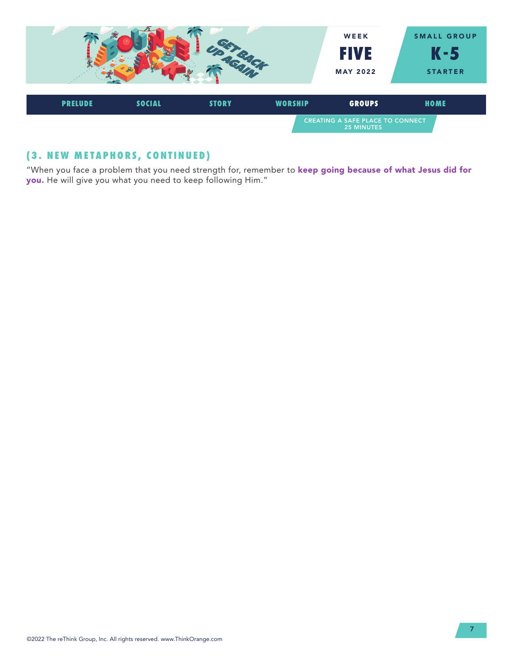

# **(3. NEW METAPHORS, CONTINUED)**

"When you face a problem that you need strength for, remember to keep going because of what Jesus did for you. He will give you what you need to keep following Him."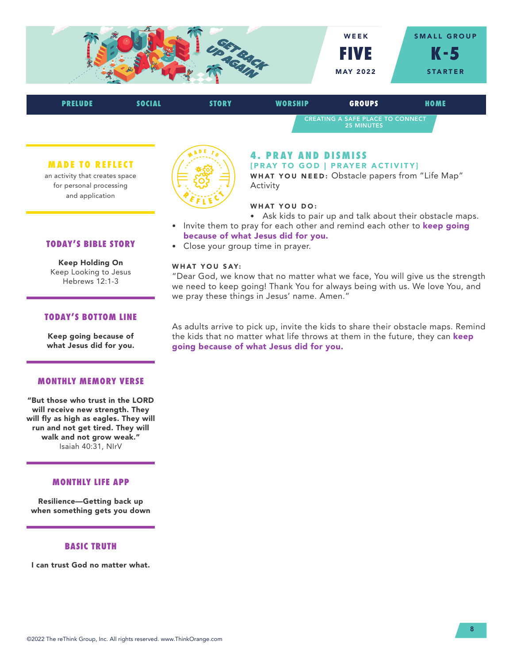

| <b>PRELUDE</b> | <b>SOCIAL</b> | <b>STORY</b> | <b>WORSHIP</b>                                               | <b>GROUPS</b> | HOME |  |
|----------------|---------------|--------------|--------------------------------------------------------------|---------------|------|--|
|                |               |              | <b>CREATING A SAFE PLACE TO CONNECT</b><br><b>25 MINUTES</b> |               |      |  |

#### **MADE TO REFLECT**

an activity that creates space for personal processing and application



# **4. PRAY AND DISMISS**

[PRAY TO GOD | PRAYER ACTIVITY] WHAT YOU NEED: Obstacle papers from "Life Map" Activity

## WHAT YOU DO:

- Ask kids to pair up and talk about their obstacle maps.
- Invite them to pray for each other and remind each other to keep going because of what Jesus did for you.
- Close your group time in prayer.

#### WHAT YOU SAY:

"Dear God, we know that no matter what we face, You will give us the strength we need to keep going! Thank You for always being with us. We love You, and we pray these things in Jesus' name. Amen."

## **TODAY'S BIBLE STORY**

Keep Holding On Keep Looking to Jesus Hebrews 12:1-3

## **TODAY'S BOTTOM LINE**

Keep going because of what Jesus did for you.

#### **MONTHLY MEMORY VERSE**

"But those who trust in the LORD will receive new strength. They will fly as high as eagles. They will run and not get tired. They will walk and not grow weak." Isaiah 40:31, NIrV

## **MONTHLY LIFE APP**

Resilience—Getting back up when something gets you down

## **BASIC TRUTH**

I can trust God no matter what.

As adults arrive to pick up, invite the kids to share their obstacle maps. Remind the kids that no matter what life throws at them in the future, they can keep going because of what Jesus did for you.